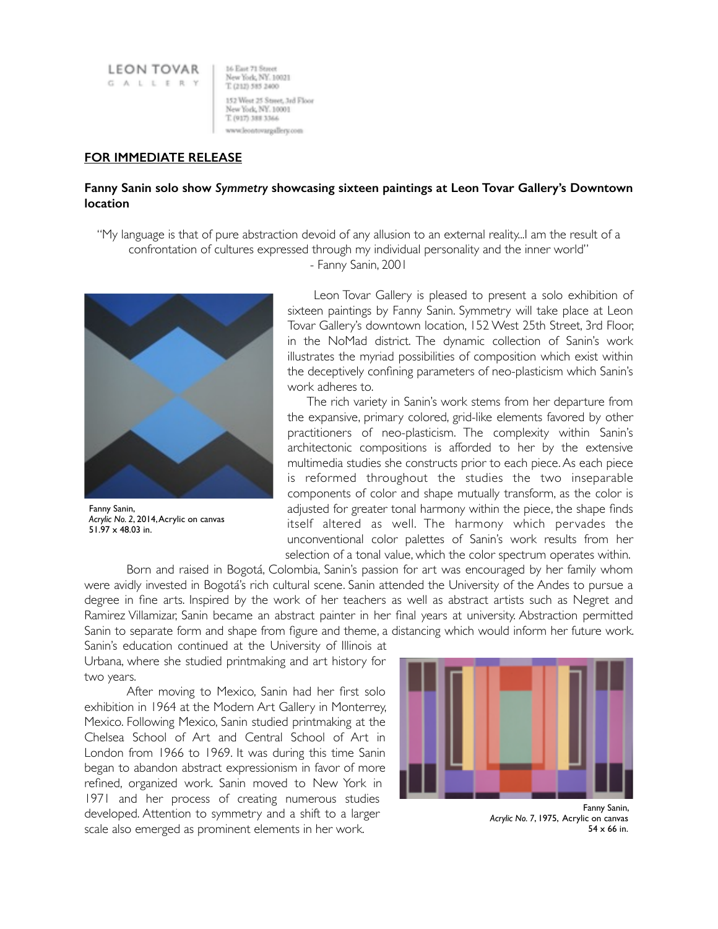**LEON TOVAR** GALLERY

16 East 71 Street New York, NY. 10021 T. (212) 585 2400 152 West 25 Stayer, 3rd Floor New York, NY. 10001 T. (917) 388 3366 www.leontovargallery.com

## **FOR IMMEDIATE RELEASE**

## **Fanny Sanin solo show** *Symmetry* **showcasing sixteen paintings at Leon Tovar Gallery's Downtown location**

"My language is that of pure abstraction devoid of any allusion to an external reality...I am the result of a confrontation of cultures expressed through my individual personality and the inner world"

- Fanny Sanin, 2001



Fanny Sanin, *Acrylic No. 2*, 2014, Acrylic on canvas 51.97 x 48.03 in.

 Leon Tovar Gallery is pleased to present a solo exhibition of sixteen paintings by Fanny Sanin. Symmetry will take place at Leon Tovar Gallery's downtown location, 152 West 25th Street, 3rd Floor, in the NoMad district. The dynamic collection of Sanin's work illustrates the myriad possibilities of composition which exist within the deceptively confining parameters of neo-plasticism which Sanin's work adheres to.

 The rich variety in Sanin's work stems from her departure from the expansive, primary colored, grid-like elements favored by other practitioners of neo-plasticism. The complexity within Sanin's architectonic compositions is afforded to her by the extensive multimedia studies she constructs prior to each piece. As each piece is reformed throughout the studies the two inseparable components of color and shape mutually transform, as the color is adjusted for greater tonal harmony within the piece, the shape finds itself altered as well. The harmony which pervades the unconventional color palettes of Sanin's work results from her selection of a tonal value, which the color spectrum operates within.

Born and raised in Bogotá, Colombia, Sanin's passion for art was encouraged by her family whom were avidly invested in Bogotá's rich cultural scene. Sanin attended the University of the Andes to pursue a degree in fine arts. Inspired by the work of her teachers as well as abstract artists such as Negret and Ramirez Villamizar, Sanin became an abstract painter in her final years at university. Abstraction permitted Sanin to separate form and shape from figure and theme, a distancing which would inform her future work.

Sanin's education continued at the University of Illinois at Urbana, where she studied printmaking and art history for two years.

After moving to Mexico, Sanin had her first solo exhibition in 1964 at the Modern Art Gallery in Monterrey, Mexico. Following Mexico, Sanin studied printmaking at the Chelsea School of Art and Central School of Art in London from 1966 to 1969. It was during this time Sanin began to abandon abstract expressionism in favor of more refined, organized work. Sanin moved to New York in 1971 and her process of creating numerous studies developed. Attention to symmetry and a shift to a larger scale also emerged as prominent elements in her work.



*Acrylic No. 7*, 1975, Acrylic on canvas  $54 \times 66$  in.